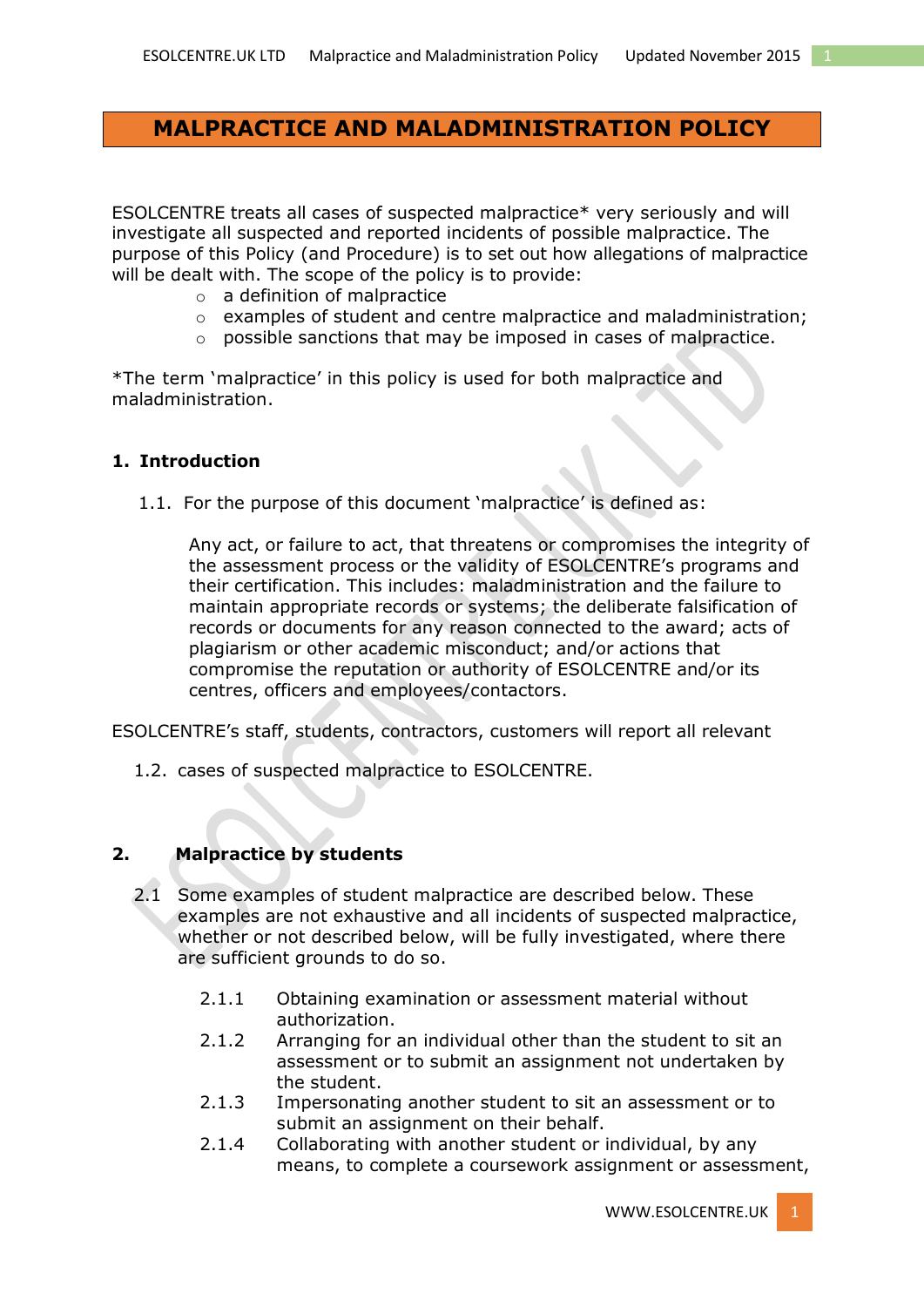# **MALPRACTICE AND MALADMINISTRATION POLICY**

ESOLCENTRE treats all cases of suspected malpractice\* very seriously and will investigate all suspected and reported incidents of possible malpractice. The purpose of this Policy (and Procedure) is to set out how allegations of malpractice will be dealt with. The scope of the policy is to provide:

- o a definition of malpractice
- o examples of student and centre malpractice and maladministration;
- o possible sanctions that may be imposed in cases of malpractice.

\*The term 'malpractice' in this policy is used for both malpractice and maladministration.

## **1. Introduction**

1.1. For the purpose of this document 'malpractice' is defined as:

Any act, or failure to act, that threatens or compromises the integrity of the assessment process or the validity of [ESOLCENTRE](http://www.esolcentre.uk/)'s programs and their certification. This includes: maladministration and the failure to maintain appropriate records or systems; the deliberate falsification of records or documents for any reason connected to the award; acts of plagiarism or other academic misconduct; and/or actions that compromise the reputation or authority of ESOLCENTRE and/or its centres, officers and employees/contactors.

ESOLCENTRE's staff, students, contractors, customers will report all relevant

1.2. cases of suspected malpractice to ESOLCENTRE.

### **2. Malpractice by students**

- 2.1 Some examples of student malpractice are described below. These examples are not exhaustive and all incidents of suspected malpractice, whether or not described below, will be fully investigated, where there are sufficient grounds to do so.
	- 2.1.1 Obtaining examination or assessment material without authorization.
	- 2.1.2 Arranging for an individual other than the student to sit an assessment or to submit an assignment not undertaken by the student.
	- 2.1.3 Impersonating another student to sit an assessment or to submit an assignment on their behalf.
	- 2.1.4 Collaborating with another student or individual, by any means, to complete a coursework assignment or assessment,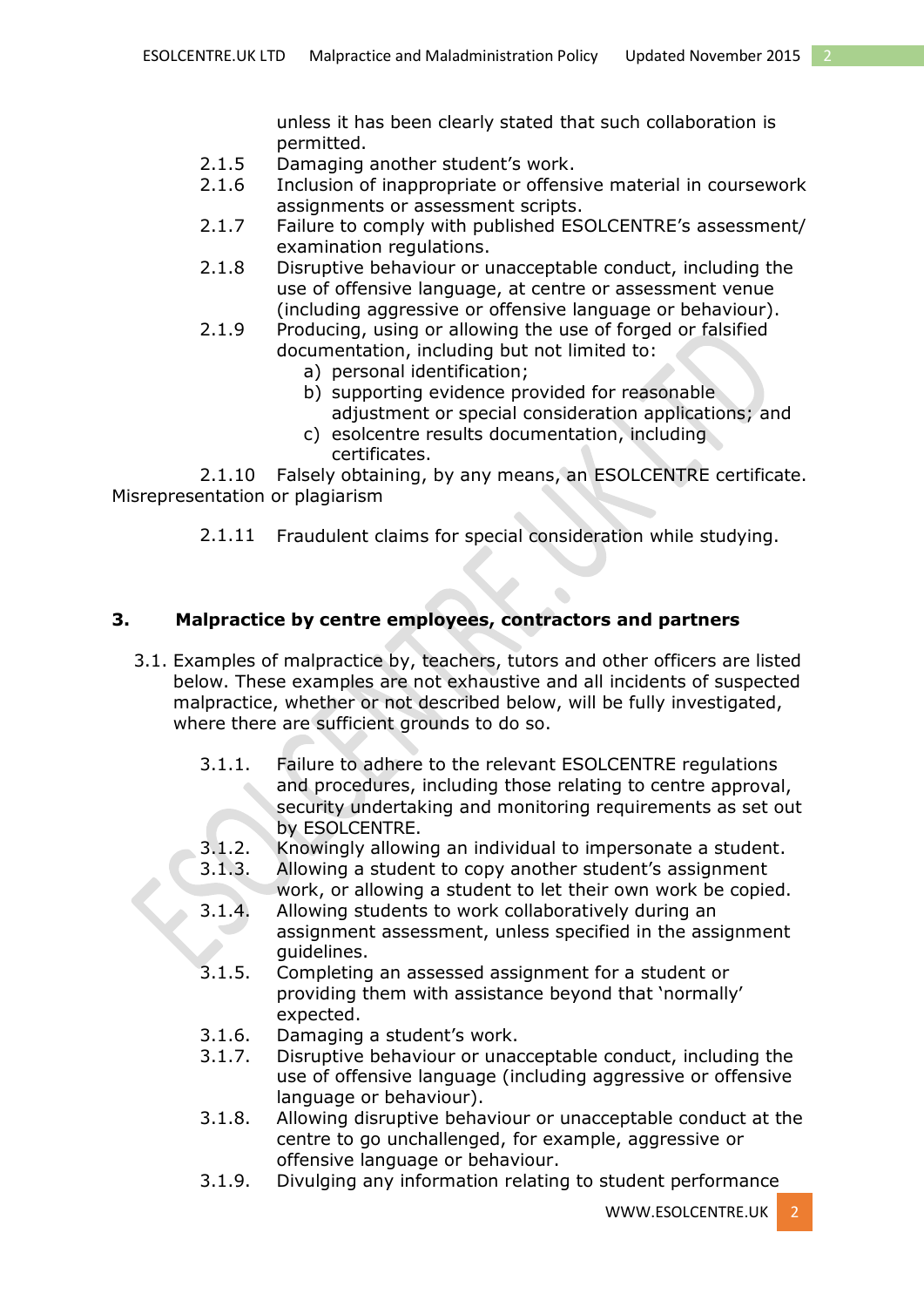unless it has been clearly stated that such collaboration is permitted.

- 2.1.5 Damaging another student's work.
- 2.1.6 Inclusion of inappropriate or offensive material in coursework assignments or assessment scripts.
- 2.1.7 Failure to comply with published ESOLCENTRE's assessment/ examination regulations.
- 2.1.8 Disruptive behaviour or unacceptable conduct, including the use of offensive language, at centre or assessment venue (including aggressive or offensive language or behaviour).
- 2.1.9 Producing, using or allowing the use of forged or falsified documentation, including but not limited to:
	- a) personal identification;
	- b) supporting evidence provided for reasonable adjustment or special consideration applications; and
	- c) esolcentre results documentation, including certificates.

2.1.10 Falsely obtaining, by any means, an ESOLCENTRE certificate. Misrepresentation or plagiarism

2.1.11 Fraudulent claims for special consideration while studying.

## **3. Malpractice by centre employees, contractors and partners**

- 3.1. Examples of malpractice by, teachers, tutors and other officers are listed below. These examples are not exhaustive and all incidents of suspected malpractice, whether or not described below, will be fully investigated, where there are sufficient grounds to do so.
	- 3.1.1. Failure to adhere to the relevant ESOLCENTRE regulations and procedures, including those relating to centre approval, security undertaking and monitoring requirements as set out by ESOLCENTRE.
	- 3.1.2. Knowingly allowing an individual to impersonate a student.
	- 3.1.3. Allowing a student to copy another student's assignment work, or allowing a student to let their own work be copied.
	- 3.1.4. Allowing students to work collaboratively during an assignment assessment, unless specified in the assignment guidelines.
	- 3.1.5. Completing an assessed assignment for a student or providing them with assistance beyond that 'normally' expected.
	- 3.1.6. Damaging a student's work.
	- 3.1.7. Disruptive behaviour or unacceptable conduct, including the use of offensive language (including aggressive or offensive language or behaviour).
	- 3.1.8. Allowing disruptive behaviour or unacceptable conduct at the centre to go unchallenged, for example, aggressive or offensive language or behaviour.
	- 3.1.9. Divulging any information relating to student performance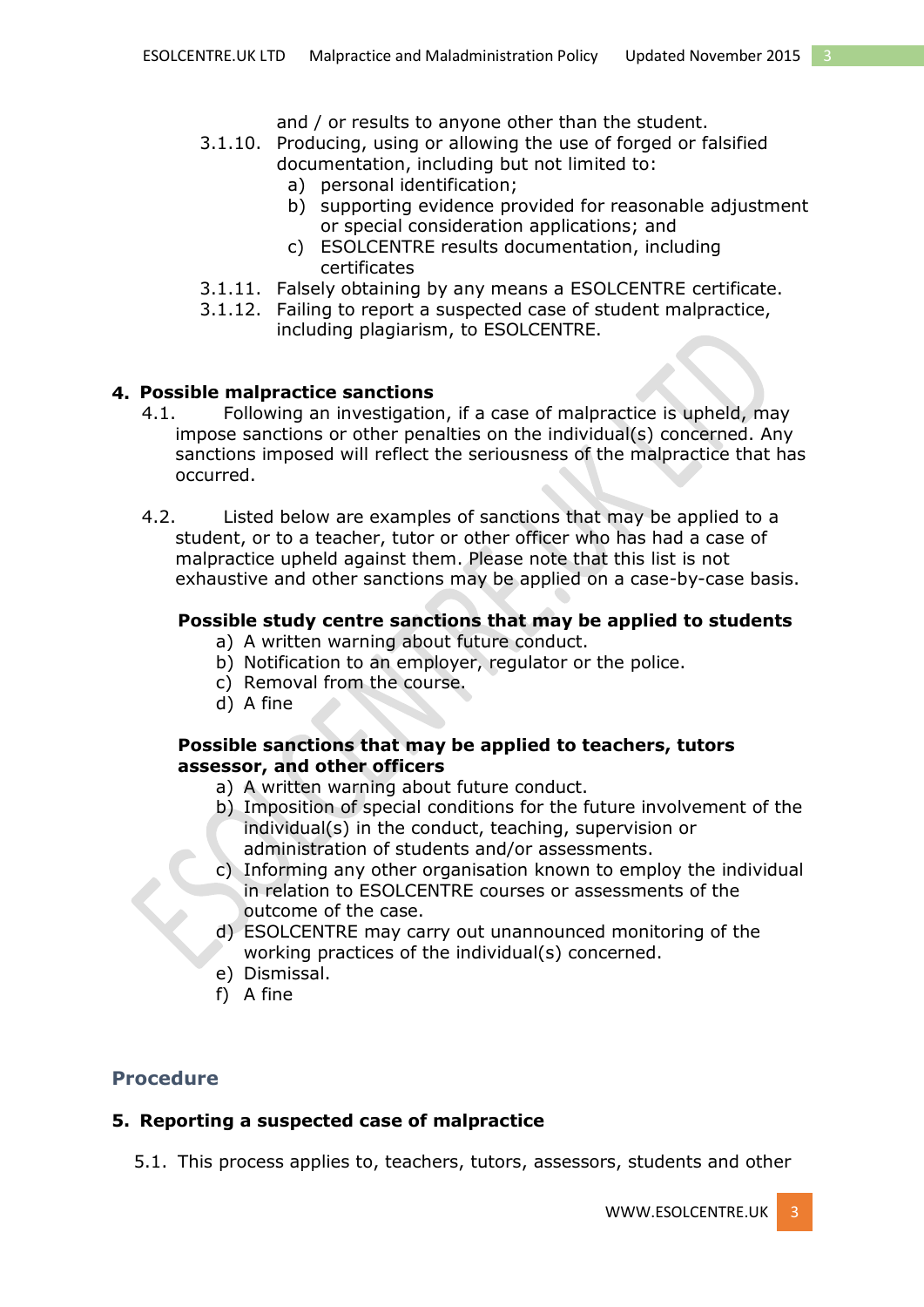and / or results to anyone other than the student.

- 3.1.10. Producing, using or allowing the use of forged or falsified documentation, including but not limited to:
	- a) personal identification;
	- b) supporting evidence provided for reasonable adjustment or special consideration applications; and
	- c) ESOLCENTRE results documentation, including certificates
- 3.1.11. Falsely obtaining by any means a ESOLCENTRE certificate.
- 3.1.12. Failing to report a suspected case of student malpractice, including plagiarism, to ESOLCENTRE.

### **4. Possible malpractice sanctions**

- 4.1. Following an investigation, if a case of malpractice is upheld, may impose sanctions or other penalties on the individual(s) concerned. Any sanctions imposed will reflect the seriousness of the malpractice that has occurred.
- 4.2. Listed below are examples of sanctions that may be applied to a student, or to a teacher, tutor or other officer who has had a case of malpractice upheld against them. Please note that this list is not exhaustive and other sanctions may be applied on a case-by-case basis.

### **Possible study centre sanctions that may be applied to students**

- a) A written warning about future conduct.
- b) Notification to an employer, regulator or the police.
- c) Removal from the course.
- d) A fine

### **Possible sanctions that may be applied to teachers, tutors assessor, and other officers**

- a) A written warning about future conduct.
- b) Imposition of special conditions for the future involvement of the individual(s) in the conduct, teaching, supervision or administration of students and/or assessments.
- c) Informing any other organisation known to employ the individual in relation to ESOLCENTRE courses or assessments of the outcome of the case.
- d) ESOLCENTRE may carry out unannounced monitoring of the working practices of the individual(s) concerned.
- e) Dismissal.
- f) A fine

## **Procedure**

### **5. Reporting a suspected case of malpractice**

5.1. This process applies to, teachers, tutors, assessors, students and other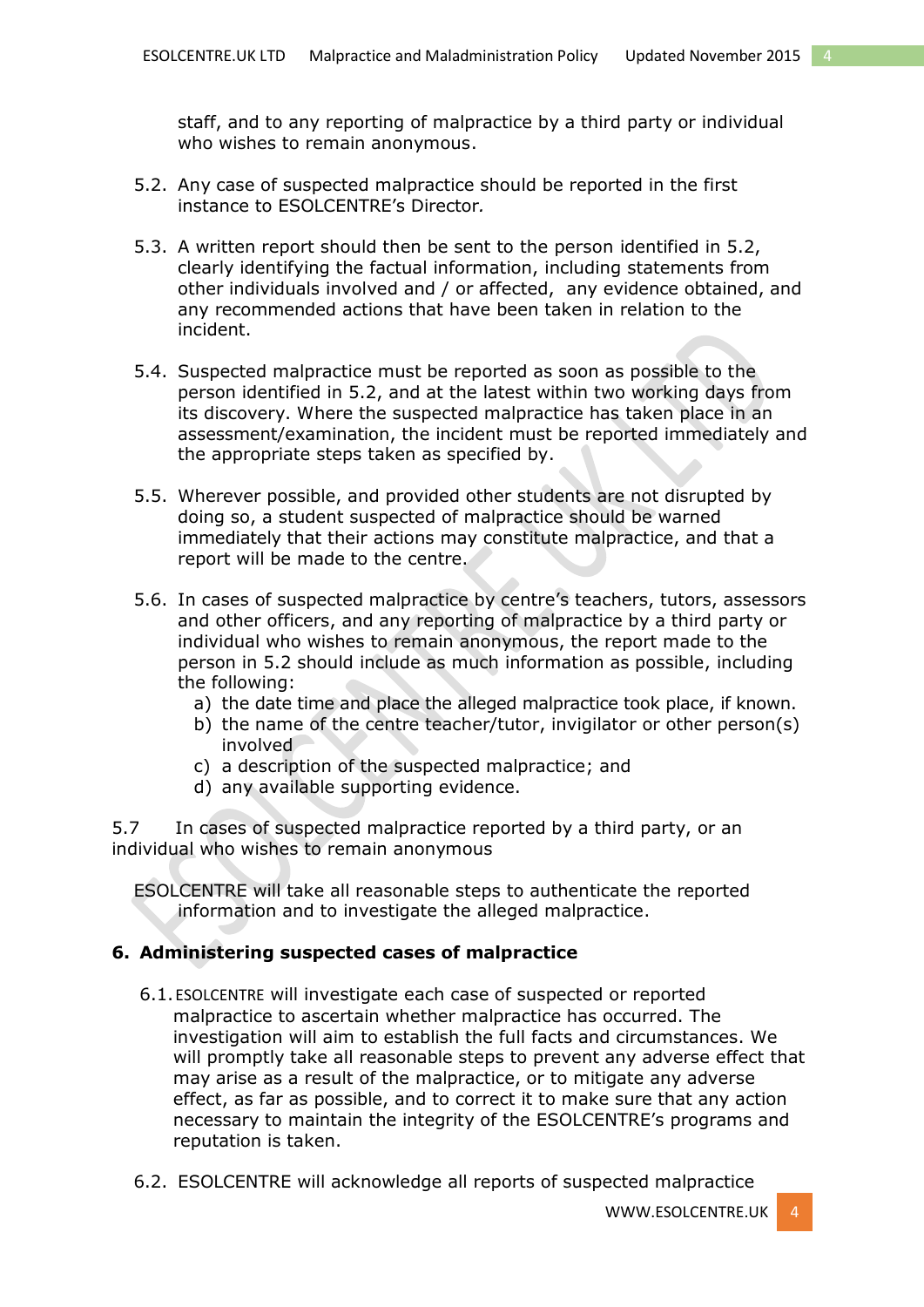staff, and to any reporting of malpractice by a third party or individual who wishes to remain anonymous.

- 5.2. Any case of suspected malpractice should be reported in the first instance to ESOLCENTRE's Director*.*
- 5.3. A written report should then be sent to the person identified in 5.2, clearly identifying the factual information, including statements from other individuals involved and / or affected, any evidence obtained, and any recommended actions that have been taken in relation to the incident.
- 5.4. Suspected malpractice must be reported as soon as possible to the person identified in 5.2, and at the latest within two working days from its discovery. Where the suspected malpractice has taken place in an assessment/examination, the incident must be reported immediately and the appropriate steps taken as specified by.
- 5.5. Wherever possible, and provided other students are not disrupted by doing so, a student suspected of malpractice should be warned immediately that their actions may constitute malpractice, and that a report will be made to the centre.
- 5.6. In cases of suspected malpractice by centre's teachers, tutors, assessors and other officers, and any reporting of malpractice by a third party or individual who wishes to remain anonymous, the report made to the person in 5.2 should include as much information as possible, including the following:
	- a) the date time and place the alleged malpractice took place, if known.
	- b) the name of the centre teacher/tutor, invigilator or other person(s) involved
	- c) a description of the suspected malpractice; and
	- d) any available supporting evidence.

5.7 In cases of suspected malpractice reported by a third party, or an individual who wishes to remain anonymous

ESOLCENTRE will take all reasonable steps to authenticate the reported information and to investigate the alleged malpractice.

#### **6. Administering suspected cases of malpractice**

- 6.1.ESOLCENTRE will investigate each case of suspected or reported malpractice to ascertain whether malpractice has occurred. The investigation will aim to establish the full facts and circumstances. We will promptly take all reasonable steps to prevent any adverse effect that may arise as a result of the malpractice, or to mitigate any adverse effect, as far as possible, and to correct it to make sure that any action necessary to maintain the integrity of the ESOLCENTRE's programs and reputation is taken.
- 6.2. ESOLCENTRE will acknowledge all reports of suspected malpractice